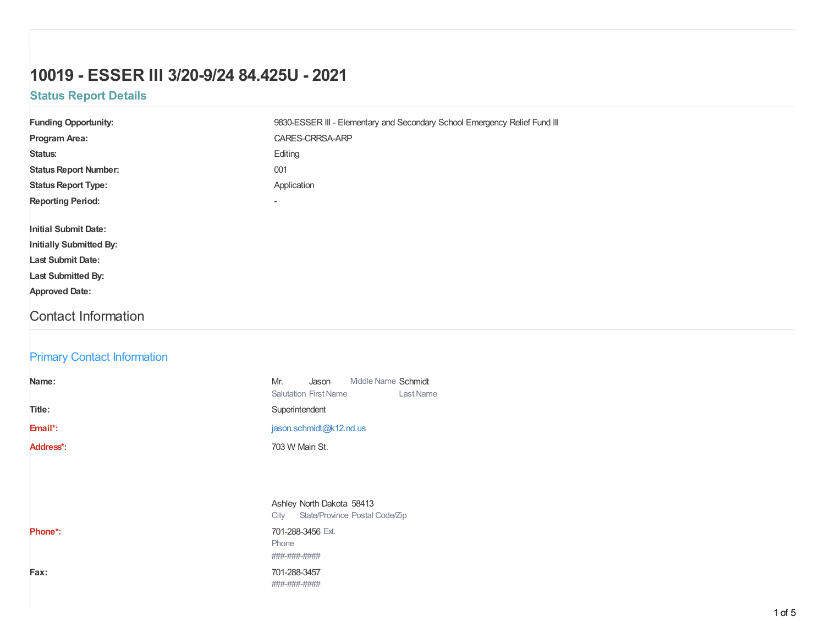# **10019 - ESSER III 3/20-9/24 84.425U - 2021**

## **Status Report Details**

| <b>Funding Opportunity:</b>        | 9830-ESSER III - Elementary and Secondary School Emergency Relief Fund III       |  |  |  |
|------------------------------------|----------------------------------------------------------------------------------|--|--|--|
| Program Area:                      | CARES-CRRSA-ARP                                                                  |  |  |  |
| Status:                            | Editing                                                                          |  |  |  |
| <b>Status Report Number:</b>       | 001                                                                              |  |  |  |
| <b>Status Report Type:</b>         | Application                                                                      |  |  |  |
| <b>Reporting Period:</b>           | $\blacksquare$                                                                   |  |  |  |
| <b>Initial Submit Date:</b>        |                                                                                  |  |  |  |
| <b>Initially Submitted By:</b>     |                                                                                  |  |  |  |
| <b>Last Submit Date:</b>           |                                                                                  |  |  |  |
| Last Submitted By:                 |                                                                                  |  |  |  |
| <b>Approved Date:</b>              |                                                                                  |  |  |  |
| <b>Contact Information</b>         |                                                                                  |  |  |  |
|                                    |                                                                                  |  |  |  |
| <b>Primary Contact Information</b> |                                                                                  |  |  |  |
| Name:                              | Middle Name Schmidt<br>Mr.<br>Jason<br><b>Salutation First Name</b><br>Last Name |  |  |  |
| Title:                             | Superintendent                                                                   |  |  |  |
| Email*:                            | jason.schmidt@k12.nd.us                                                          |  |  |  |
| Address*:                          | 703 W Main St.                                                                   |  |  |  |
|                                    |                                                                                  |  |  |  |
|                                    | Ashley North Dakota 58413<br>City State/Province Postal Code/Zip                 |  |  |  |
| Phone*:                            | 701-288-3456 Ext.<br>Phone<br>###-###-####                                       |  |  |  |
| Fax:                               | 701-288-3457<br>###-###-####                                                     |  |  |  |
|                                    |                                                                                  |  |  |  |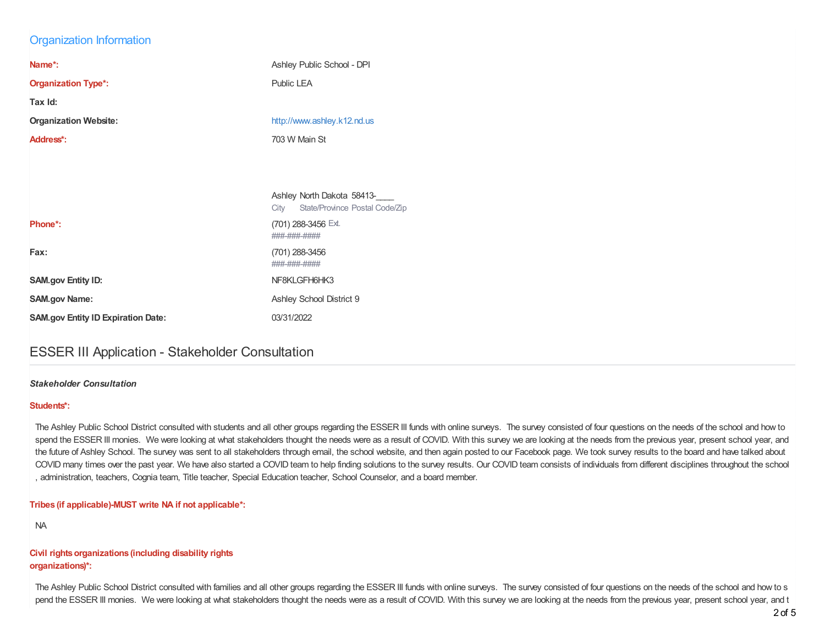### Organization Information

| Name*:                       | Ashley Public School - DPI  |
|------------------------------|-----------------------------|
| <b>Organization Type*:</b>   | Public LEA                  |
| Tax Id:                      |                             |
|                              |                             |
| <b>Organization Website:</b> | http://www.ashley.k12.nd.us |
| Address*:                    | 703 W Main St               |

|                                           | Ashley North Dakota 58413-<br>State/Province Postal Code/Zip<br>City |
|-------------------------------------------|----------------------------------------------------------------------|
| Phone*:                                   | (701) 288-3456 Ext.<br>###-###-####                                  |
| Fax:                                      | (701) 288-3456<br>###-###-####                                       |
| <b>SAM.gov Entity ID:</b>                 | NF8KLGFH6HK3                                                         |
| <b>SAM.gov Name:</b>                      | Ashley School District 9                                             |
| <b>SAM.gov Entity ID Expiration Date:</b> | 03/31/2022                                                           |

## ESSER III Application - Stakeholder Consultation

#### *Stakeholder Consultation*

#### **Students\*:**

The Ashley Public School District consulted with students and all other groups regarding the ESSER III funds with online surveys. The survey consisted of four questions on the needs of the school and how to spend the ESSER III monies. We were looking at what stakeholders thought the needs were as a result of COVID. With this survey we are looking at the needs from the previous year, present school year, and the future of Ashley School. The survey was sent to all stakeholders through email, the school website, and then again posted to our Facebook page. We took survey results to the board and have talked about COVID many times over the past year. We have also started a COVID team to help finding solutions to the survey results. Our COVID team consists of individuals from different disciplines throughout the school , administration, teachers, Cognia team, Title teacher, Special Education teacher, School Counselor, and a board member.

#### **Tribes (if applicable)-MUST write NA if not applicable\*:**

NA

#### **Civil rights organizations (including disability rights organizations)\*:**

The Ashley Public School District consulted with families and all other groups regarding the ESSER III funds with online surveys. The survey consisted of four questions on the needs of the school and how to s pend the ESSER III monies. We were looking at what stakeholders thought the needs were as a result of COVID. With this survey we are looking at the needs from the previous year, present school year, and t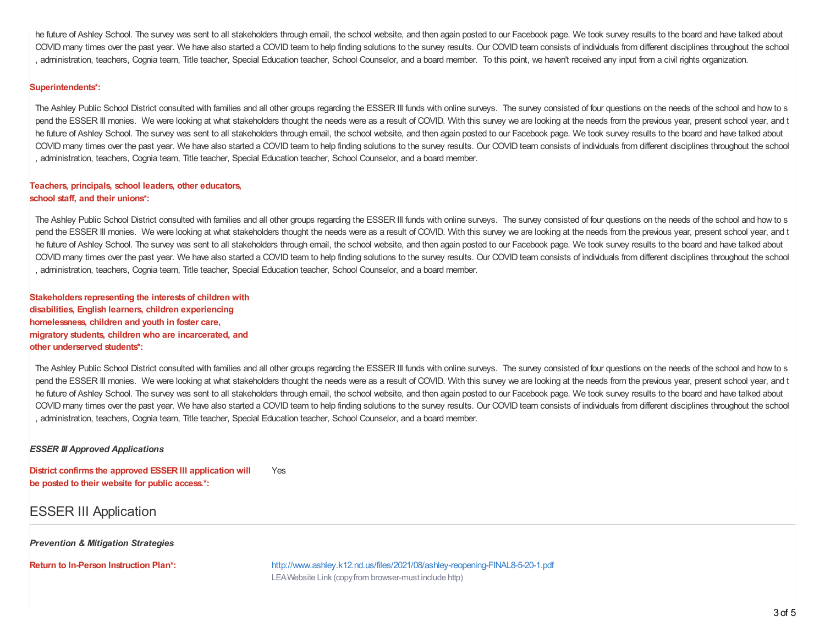he future of Ashley School. The survey was sent to all stakeholders through email, the school website, and then again posted to our Facebook page. We took survey results to the board and have talked about COVID many times over the past year. We have also started a COVID team to help finding solutions to the survey results. Our COVID team consists of individuals from different disciplines throughout the school , administration, teachers, Cognia team, Title teacher, Special Education teacher, School Counselor, and a board member. To this point, we haven't received any input from a civil rights organization.

#### **Superintendents\*:**

The Ashley Public School District consulted with families and all other groups regarding the ESSER III funds with online surveys. The survey consisted of four questions on the needs of the school and how to s pend the ESSER III monies. We were looking at what stakeholders thought the needs were as a result of COVID. With this survey we are looking at the needs from the previous year, present school year, and t he future of Ashley School. The survey was sent to all stakeholders through email, the school website, and then again posted to our Facebook page. We took survey results to the board and have talked about COVID many times over the past year. We have also started a COVID team to help finding solutions to the survey results. Our COVID team consists of individuals from different disciplines throughout the school , administration, teachers, Cognia team, Title teacher, Special Education teacher, School Counselor, and a board member.

#### **Teachers, principals, school leaders, other educators, school staff, and their unions\*:**

The Ashley Public School District consulted with families and all other groups regarding the ESSER III funds with online surveys. The survey consisted of four questions on the needs of the school and how to s pend the ESSER III monies. We were looking at what stakeholders thought the needs were as a result of COVID. With this survey we are looking at the needs from the previous year, present school year, and t he future of Ashley School. The survey was sent to all stakeholders through email, the school website, and then again posted to our Facebook page. We took survey results to the board and have talked about COVID many times over the past year. We have also started a COVID team to help finding solutions to the survey results. Our COVID team consists of individuals from different disciplines throughout the school , administration, teachers, Cognia team, Title teacher, Special Education teacher, School Counselor, and a board member.

**Stakeholders representing the interestsof children with disabilities, English learners, children experiencing homelessness, children and youth in foster care, migratory students, children who are incarcerated, and other underserved students\*:**

The Ashley Public School District consulted with families and all other groups regarding the ESSER III funds with online surveys. The survey consisted of four questions on the needs of the school and how to s pend the ESSER III monies. We were looking at what stakeholders thought the needs were as a result of COVID. With this survey we are looking at the needs from the previous year, present school year, and t he future of Ashley School. The survey was sent to all stakeholders through email, the school website, and then again posted to our Facebook page. We took survey results to the board and have talked about COVID many times over the past year. We have also started a COVID team to help finding solutions to the survey results. Our COVID team consists of individuals from different disciplines throughout the school , administration, teachers, Cognia team, Title teacher, Special Education teacher, School Counselor, and a board member.

#### *ESSER III Approved Applications*

**District confirms the approved ESSER III application will be posted to their website for public access.\*:** Yes

### ESSER III Application

*Prevention & Mitigation Strategies*

**Return to In-Person Instruction Plan\*:** <http://www.ashley.k12.nd.us/files/2021/08/ashley-reopening-FINAL8-5-20-1.pdf> LEAWebsite Link (copyfrom browser-must include http)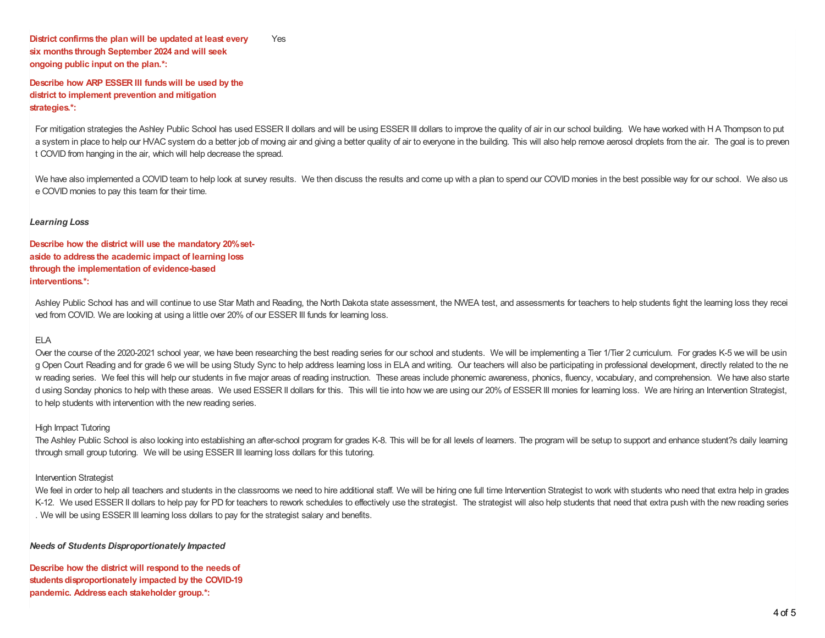**District confirms the plan will be updated at least every six months through September 2024 and will seek ongoing public input on the plan.\*:** Yes

**Describe how ARP ESSER III fundswill be used by the district to implement prevention and mitigation strategies.\*:**

For mitigation strategies the Ashley Public School has used ESSER II dollars and will be using ESSER III dollars to improve the quality of air in our school building. We have worked with H A Thompson to put a system in place to help our HVAC system do a better job of moving air and giving a better quality of air to everyone in the building. This will also help remove aerosol droplets from the air. The goal is to preven t COVID from hanging in the air, which will help decrease the spread.

We have also implemented a COVID team to help look at survey results. We then discuss the results and come up with a plan to spend our COVID monies in the best possible way for our school. We also us e COVID monies to pay this team for their time.

#### *Learning Loss*

**Describe how the district will use the mandatory 20%setaside to address the academic impact of learning loss through the implementation of evidence-based interventions.\*:**

Ashley Public School has and will continue to use Star Math and Reading, the North Dakota state assessment, the NWEA test, and assessments for teachers to help students fight the learning loss they recei ved from COVID. We are looking at using a little over 20% of our ESSER III funds for learning loss.

#### ELA

Over the course of the 2020-2021 school year, we have been researching the best reading series for our school and students. We will be implementing a Tier 1/Tier 2 curriculum. For grades K-5 we will be usin g Open Court Reading and for grade 6 we will be using Study Sync to help address learning loss in ELA and writing. Our teachers will also be participating in professional development, directly related to the ne w reading series. We feel this will help our students in five major areas of reading instruction. These areas include phonemic awareness, phonics, fluency, vocabulary, and comprehension. We have also starte d using Sonday phonics to help with these areas. We used ESSER II dollars for this. This will tie into how we are using our 20% of ESSER III monies for learning loss. We are hiring an Intervention Strategist, to help students with intervention with the new reading series.

#### High Impact Tutoring

The Ashley Public School is also looking into establishing an after-school program for grades K-8. This will be for all levels of learners. The program will be setup to support and enhance student?s daily learning through small group tutoring. We will be using ESSER III learning loss dollars for this tutoring.

#### Intervention Strategist

We feel in order to help all teachers and students in the classrooms we need to hire additional staff. We will be hiring one full time Intervention Strategist to work with students who need that extra help in grades K-12. We used ESSER II dollars to help pay for PD for teachers to rework schedules to effectively use the strategist. The strategist will also help students that need that extra push with the new reading series . We will be using ESSER III learning loss dollars to pay for the strategist salary and benefits.

#### *Needs of Students Disproportionately Impacted*

**Describe how the district will respond to the needsof students disproportionately impacted by the COVID-19 pandemic. Address each stakeholder group.\*:**